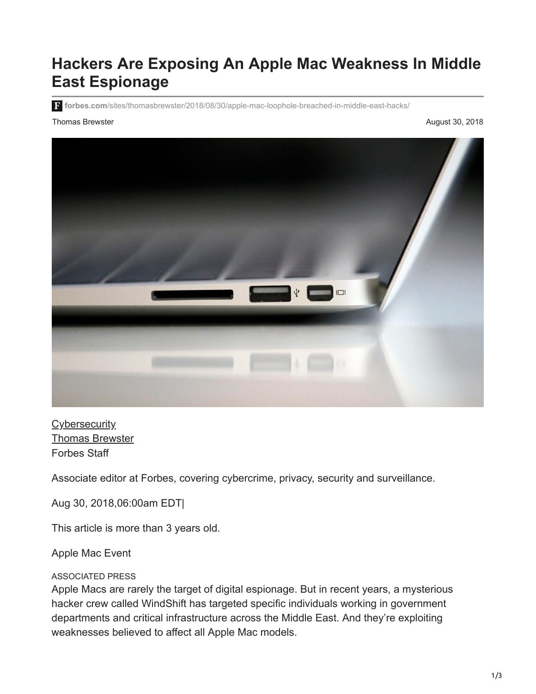# **Hackers Are Exposing An Apple Mac Weakness In Middle East Espionage**

**forbes.com**[/sites/thomasbrewster/2018/08/30/apple-mac-loophole-breached-in-middle-east-hacks/](https://www.forbes.com/sites/thomasbrewster/2018/08/30/apple-mac-loophole-breached-in-middle-east-hacks/)

Thomas Brewster **August 30, 2018 August 30, 2018** 



**[Cybersecurity](https://www.forbes.com/cybersecurity)** [Thomas Brewster](https://www.forbes.com/sites/thomasbrewster/) Forbes Staff

Associate editor at Forbes, covering cybercrime, privacy, security and surveillance.

Aug 30, 2018,06:00am EDT|

This article is more than 3 years old.

Apple Mac Event

#### ASSOCIATED PRESS

Apple Macs are rarely the target of digital espionage. But in recent years, a mysterious hacker crew called WindShift has targeted specific individuals working in government departments and critical infrastructure across the Middle East. And they're exploiting weaknesses believed to affect all Apple Mac models.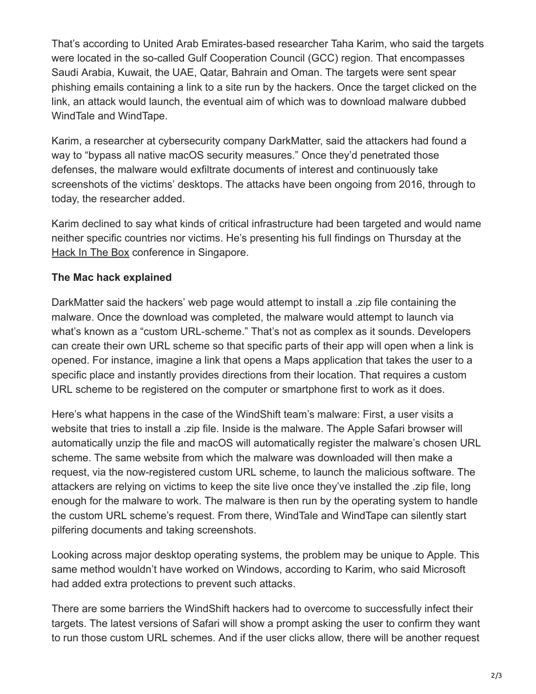That's according to United Arab Emirates-based researcher Taha Karim, who said the targets were located in the so-called Gulf Cooperation Council (GCC) region. That encompasses Saudi Arabia, Kuwait, the UAE, Qatar, Bahrain and Oman. The targets were sent spear phishing emails containing a link to a site run by the hackers. Once the target clicked on the link, an attack would launch, the eventual aim of which was to download malware dubbed WindTale and WindTape.

Karim, a researcher at cybersecurity company DarkMatter, said the attackers had found a way to "bypass all native macOS security measures." Once they'd penetrated those defenses, the malware would exfiltrate documents of interest and continuously take screenshots of the victims' desktops. The attacks have been ongoing from 2016, through to today, the researcher added.

Karim declined to say what kinds of critical infrastructure had been targeted and would name neither specific countries nor victims. He's presenting his full findings on Thursday at the [Hack In The Box](https://gsec.hitb.org/sg2018/sessions/commsec-the-trails-of-windshift-apt/) conference in Singapore.

## **The Mac hack explained**

DarkMatter said the hackers' web page would attempt to install a .zip file containing the malware. Once the download was completed, the malware would attempt to launch via what's known as a "custom URL-scheme." That's not as complex as it sounds. Developers can create their own URL scheme so that specific parts of their app will open when a link is opened. For instance, imagine a link that opens a Maps application that takes the user to a specific place and instantly provides directions from their location. That requires a custom URL scheme to be registered on the computer or smartphone first to work as it does.

Here's what happens in the case of the WindShift team's malware: First, a user visits a website that tries to install a .zip file. Inside is the malware. The Apple Safari browser will automatically unzip the file and macOS will automatically register the malware's chosen URL scheme. The same website from which the malware was downloaded will then make a request, via the now-registered custom URL scheme, to launch the malicious software. The attackers are relying on victims to keep the site live once they've installed the .zip file, long enough for the malware to work. The malware is then run by the operating system to handle the custom URL scheme's request. From there, WindTale and WindTape can silently start pilfering documents and taking screenshots.

Looking across major desktop operating systems, the problem may be unique to Apple. This same method wouldn't have worked on Windows, according to Karim, who said Microsoft had added extra protections to prevent such attacks.

There are some barriers the WindShift hackers had to overcome to successfully infect their targets. The latest versions of Safari will show a prompt asking the user to confirm they want to run those custom URL schemes. And if the user clicks allow, there will be another request